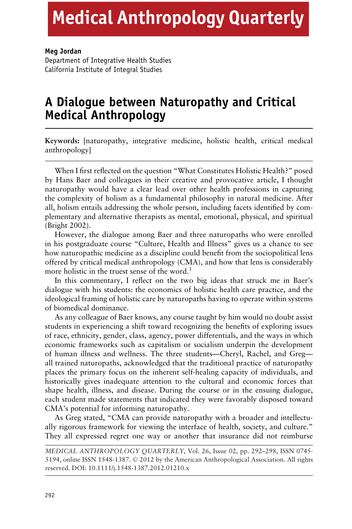# **Medical Anthropology Quarterly**

### **Meg Jordan**

Department of Integrative Health Studies California Institute of Integral Studies

## **A Dialogue between Naturopathy and Critical Medical Anthropology**

**Keywords:** [naturopathy, integrative medicine, holistic health, critical medical anthropology]

When I first reflected on the question "What Constitutes Holistic Health?" posed by Hans Baer and colleagues in their creative and provocative article, I thought naturopathy would have a clear lead over other health professions in capturing the complexity of holism as a fundamental philosophy in natural medicine. After all, holism entails addressing the whole person, including facets identified by complementary and alternative therapists as mental, emotional, physical, and spiritual (Bright 2002).

However, the dialogue among Baer and three naturopaths who were enrolled in his postgraduate course "Culture, Health and Illness" gives us a chance to see how naturopathic medicine as a discipline could benefit from the sociopolitical lens offered by critical medical anthropology (CMA), and how that lens is considerably more holistic in the truest sense of the word.<sup>1</sup>

In this commentary, I reflect on the two big ideas that struck me in Baer's dialogue with his students: the economics of holistic health care practice, and the ideological framing of holistic care by naturopaths having to operate within systems of biomedical dominance.

As any colleague of Baer knows, any course taught by him would no doubt assist students in experiencing a shift toward recognizing the benefits of exploring issues of race, ethnicity, gender, class, agency, power differentials, and the ways in which economic frameworks such as capitalism or socialism underpin the development of human illness and wellness. The three students—Cheryl, Rachel, and Greg all trained naturopaths, acknowledged that the traditional practice of naturopathy places the primary focus on the inherent self-healing capacity of individuals, and historically gives inadequate attention to the cultural and economic forces that shape health, illness, and disease. During the course or in the ensuing dialogue, each student made statements that indicated they were favorably disposed toward CMA's potential for informing naturopathy.

As Greg stated, "CMA can provide naturopathy with a broader and intellectually rigorous framework for viewing the interface of health, society, and culture." They all expressed regret one way or another that insurance did not reimburse

*MEDICAL ANTHROPOLOGY QUARTERLY*, Vol. 26, Issue 02, pp. 292–298, ISSN 0745- 5194, online ISSN 1548-1387. © 2012 by the American Anthropological Association. All rights reserved. DOI: 10.1111/j.1548-1387.2012.01210.x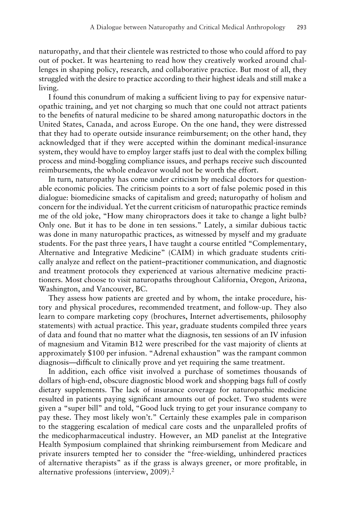naturopathy, and that their clientele was restricted to those who could afford to pay out of pocket. It was heartening to read how they creatively worked around challenges in shaping policy, research, and collaborative practice. But most of all, they struggled with the desire to practice according to their highest ideals and still make a living.

I found this conundrum of making a sufficient living to pay for expensive naturopathic training, and yet not charging so much that one could not attract patients to the benefits of natural medicine to be shared among naturopathic doctors in the United States, Canada, and across Europe. On the one hand, they were distressed that they had to operate outside insurance reimbursement; on the other hand, they acknowledged that if they were accepted within the dominant medical-insurance system, they would have to employ larger staffs just to deal with the complex billing process and mind-boggling compliance issues, and perhaps receive such discounted reimbursements, the whole endeavor would not be worth the effort.

In turn, naturopathy has come under criticism by medical doctors for questionable economic policies. The criticism points to a sort of false polemic posed in this dialogue: biomedicine smacks of capitalism and greed; naturopathy of holism and concern for the individual. Yet the current criticism of naturopathic practice reminds me of the old joke, "How many chiropractors does it take to change a light bulb? Only one. But it has to be done in ten sessions." Lately, a similar dubious tactic was done in many naturopathic practices, as witnessed by myself and my graduate students. For the past three years, I have taught a course entitled "Complementary, Alternative and Integrative Medicine" (CAIM) in which graduate students critically analyze and reflect on the patient–practitioner communication, and diagnostic and treatment protocols they experienced at various alternative medicine practitioners. Most choose to visit naturopaths throughout California, Oregon, Arizona, Washington, and Vancouver, BC.

They assess how patients are greeted and by whom, the intake procedure, history and physical procedures, recommended treatment, and follow-up. They also learn to compare marketing copy (brochures, Internet advertisements, philosophy statements) with actual practice. This year, graduate students compiled three years of data and found that no matter what the diagnosis, ten sessions of an IV infusion of magnesium and Vitamin B12 were prescribed for the vast majority of clients at approximately \$100 per infusion. "Adrenal exhaustion" was the rampant common diagnosis—difficult to clinically prove and yet requiring the same treatment.

In addition, each office visit involved a purchase of sometimes thousands of dollars of high-end, obscure diagnostic blood work and shopping bags full of costly dietary supplements. The lack of insurance coverage for naturopathic medicine resulted in patients paying significant amounts out of pocket. Two students were given a "super bill" and told, "Good luck trying to get your insurance company to pay these. They most likely won't." Certainly these examples pale in comparison to the staggering escalation of medical care costs and the unparalleled profits of the medicopharmaceutical industry. However, an MD panelist at the Integrative Health Symposium complained that shrinking reimbursement from Medicare and private insurers tempted her to consider the "free-wielding, unhindered practices of alternative therapists" as if the grass is always greener, or more profitable, in alternative professions (interview, 2009).<sup>2</sup>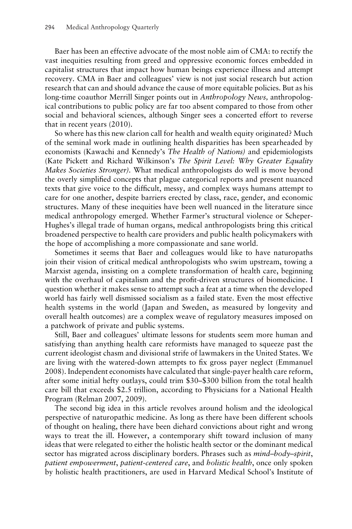Baer has been an effective advocate of the most noble aim of CMA: to rectify the vast inequities resulting from greed and oppressive economic forces embedded in capitalist structures that impact how human beings experience illness and attempt recovery. CMA in Baer and colleagues' view is not just social research but action research that can and should advance the cause of more equitable policies. But as his long-time coauthor Merrill Singer points out in *Anthropology News,* anthropological contributions to public policy are far too absent compared to those from other social and behavioral sciences, although Singer sees a concerted effort to reverse that in recent years (2010).

So where has this new clarion call for health and wealth equity originated? Much of the seminal work made in outlining health disparities has been spearheaded by economists (Kawachi and Kennedy's *The Health of Nations)* and epidemiologists (Kate Pickett and Richard Wilkinson's *The Spirit Level: Why Greater Equality Makes Societies Stronger).* What medical anthropologists do well is move beyond the overly simplified concepts that plague categorical reports and present nuanced texts that give voice to the difficult, messy, and complex ways humans attempt to care for one another, despite barriers erected by class, race, gender, and economic structures. Many of these inequities have been well nuanced in the literature since medical anthropology emerged. Whether Farmer's structural violence or Scheper-Hughes's illegal trade of human organs, medical anthropologists bring this critical broadened perspective to health care providers and public health policymakers with the hope of accomplishing a more compassionate and sane world.

Sometimes it seems that Baer and colleagues would like to have naturopaths join their vision of critical medical anthropologists who swim upstream, towing a Marxist agenda, insisting on a complete transformation of health care, beginning with the overhaul of capitalism and the profit-driven structures of biomedicine. I question whether it makes sense to attempt such a feat at a time when the developed world has fairly well dismissed socialism as a failed state. Even the most effective health systems in the world (Japan and Sweden, as measured by longevity and overall health outcomes) are a complex weave of regulatory measures imposed on a patchwork of private and public systems.

Still, Baer and colleagues' ultimate lessons for students seem more human and satisfying than anything health care reformists have managed to squeeze past the current ideologist chasm and divisional strife of lawmakers in the United States. We are living with the watered-down attempts to fix gross payer neglect (Emmanuel 2008). Independent economists have calculated that single-payer health care reform, after some initial hefty outlays, could trim \$30–\$300 billion from the total health care bill that exceeds \$2.5 trillion, according to Physicians for a National Health Program (Relman 2007, 2009).

The second big idea in this article revolves around holism and the ideological perspective of naturopathic medicine. As long as there have been different schools of thought on healing, there have been diehard convictions about right and wrong ways to treat the ill. However, a contemporary shift toward inclusion of many ideas that were relegated to either the holistic health sector or the dominant medical sector has migrated across disciplinary borders. Phrases such as *mind–body–spirit*, *patient empowerment*, *patient-centered care*, and *holistic health*, once only spoken by holistic health practitioners, are used in Harvard Medical School's Institute of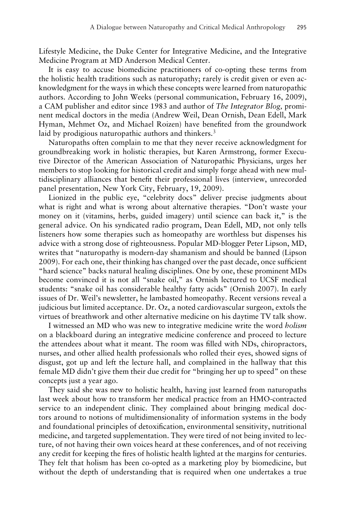Lifestyle Medicine, the Duke Center for Integrative Medicine, and the Integrative Medicine Program at MD Anderson Medical Center.

It is easy to accuse biomedicine practitioners of co-opting these terms from the holistic health traditions such as naturopathy; rarely is credit given or even acknowledgment for the ways in which these concepts were learned from naturopathic authors. According to John Weeks (personal communication, February 16, 2009), a CAM publisher and editor since 1983 and author of *The Integrator Blog,* prominent medical doctors in the media (Andrew Weil, Dean Ornish, Dean Edell, Mark Hyman, Mehmet Oz, and Michael Roizen) have benefited from the groundwork laid by prodigious naturopathic authors and thinkers. $3$ 

Naturopaths often complain to me that they never receive acknowledgment for groundbreaking work in holistic therapies, but Karen Armstrong, former Executive Director of the American Association of Naturopathic Physicians, urges her members to stop looking for historical credit and simply forge ahead with new multidisciplinary alliances that benefit their professional lives (interview, unrecorded panel presentation, New York City, February, 19, 2009).

Lionized in the public eye, "celebrity docs" deliver precise judgments about what is right and what is wrong about alternative therapies. "Don't waste your money on it (vitamins, herbs, guided imagery) until science can back it," is the general advice. On his syndicated radio program, Dean Edell, MD, not only tells listeners how some therapies such as homeopathy are worthless but dispenses his advice with a strong dose of righteousness. Popular MD-blogger Peter Lipson, MD, writes that "naturopathy is modern-day shamanism and should be banned (Lipson 2009). For each one, their thinking has changed over the past decade, once sufficient "hard science" backs natural healing disciplines. One by one, these prominent MDs become convinced it is not all "snake oil," as Ornish lectured to UCSF medical students: "snake oil has considerable healthy fatty acids" (Ornish 2007). In early issues of Dr. Weil's newsletter, he lambasted homeopathy. Recent versions reveal a judicious but limited acceptance. Dr. Oz, a noted cardiovascular surgeon, extols the virtues of breathwork and other alternative medicine on his daytime TV talk show.

I witnessed an MD who was new to integrative medicine write the word *holism* on a blackboard during an integrative medicine conference and proceed to lecture the attendees about what it meant. The room was filled with NDs, chiropractors, nurses, and other allied health professionals who rolled their eyes, showed signs of disgust, got up and left the lecture hall, and complained in the hallway that this female MD didn't give them their due credit for "bringing her up to speed" on these concepts just a year ago.

They said she was new to holistic health, having just learned from naturopaths last week about how to transform her medical practice from an HMO-contracted service to an independent clinic. They complained about bringing medical doctors around to notions of multidimensionality of information systems in the body and foundational principles of detoxification, environmental sensitivity, nutritional medicine, and targeted supplementation. They were tired of not being invited to lecture, of not having their own voices heard at these conferences, and of not receiving any credit for keeping the fires of holistic health lighted at the margins for centuries. They felt that holism has been co-opted as a marketing ploy by biomedicine, but without the depth of understanding that is required when one undertakes a true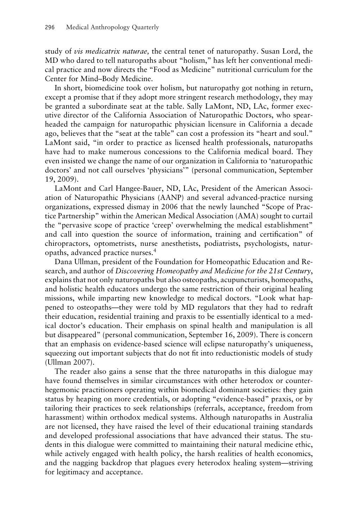study of *vis medicatrix naturae,* the central tenet of naturopathy. Susan Lord, the MD who dared to tell naturopaths about "holism," has left her conventional medical practice and now directs the "Food as Medicine" nutritional curriculum for the Center for Mind–Body Medicine.

In short, biomedicine took over holism, but naturopathy got nothing in return, except a promise that if they adopt more stringent research methodology, they may be granted a subordinate seat at the table. Sally LaMont, ND, LAc, former executive director of the California Association of Naturopathic Doctors, who spearheaded the campaign for naturopathic physician licensure in California a decade ago, believes that the "seat at the table" can cost a profession its "heart and soul." LaMont said, "in order to practice as licensed health professionals, naturopaths have had to make numerous concessions to the California medical board. They even insisted we change the name of our organization in California to 'naturopathic doctors' and not call ourselves 'physicians'" (personal communication, September 19, 2009).

LaMont and Carl Hangee-Bauer, ND, LAc, President of the American Association of Naturopathic Physicians (AANP) and several advanced-practice nursing organizations, expressed dismay in 2006 that the newly launched "Scope of Practice Partnership" within the American Medical Association (AMA) sought to curtail the "pervasive scope of practice 'creep' overwhelming the medical establishment" and call into question the source of information, training and certification" of chiropractors, optometrists, nurse anesthetists, podiatrists, psychologists, naturopaths, advanced practice nurses.<sup>4</sup>

Dana Ullman, president of the Foundation for Homeopathic Education and Research, and author of *Discovering Homeopathy and Medicine for the 21st Century*, explains that not only naturopaths but also osteopaths, acupuncturists, homeopaths, and holistic health educators undergo the same restriction of their original healing missions, while imparting new knowledge to medical doctors. "Look what happened to osteopaths—they were told by MD regulators that they had to redraft their education, residential training and praxis to be essentially identical to a medical doctor's education. Their emphasis on spinal health and manipulation is all but disappeared" (personal communication, September 16, 2009). There is concern that an emphasis on evidence-based science will eclipse naturopathy's uniqueness, squeezing out important subjects that do not fit into reductionistic models of study (Ullman 2007).

The reader also gains a sense that the three naturopaths in this dialogue may have found themselves in similar circumstances with other heterodox or counterhegemonic practitioners operating within biomedical dominant societies: they gain status by heaping on more credentials, or adopting "evidence-based" praxis, or by tailoring their practices to seek relationships (referrals, acceptance, freedom from harassment) within orthodox medical systems. Although naturopaths in Australia are not licensed, they have raised the level of their educational training standards and developed professional associations that have advanced their status. The students in this dialogue were committed to maintaining their natural medicine ethic, while actively engaged with health policy, the harsh realities of health economics, and the nagging backdrop that plagues every heterodox healing system—striving for legitimacy and acceptance.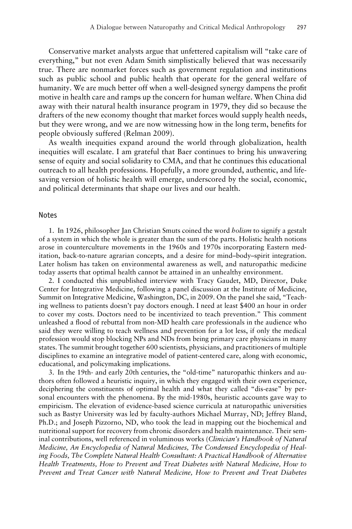Conservative market analysts argue that unfettered capitalism will "take care of everything," but not even Adam Smith simplistically believed that was necessarily true. There are nonmarket forces such as government regulation and institutions such as public school and public health that operate for the general welfare of humanity. We are much better off when a well-designed synergy dampens the profit motive in health care and ramps up the concern for human welfare. When China did away with their natural health insurance program in 1979, they did so because the drafters of the new economy thought that market forces would supply health needs, but they were wrong, and we are now witnessing how in the long term, benefits for people obviously suffered (Relman 2009).

As wealth inequities expand around the world through globalization, health inequities will escalate. I am grateful that Baer continues to bring his unwavering sense of equity and social solidarity to CMA, and that he continues this educational outreach to all health professions. Hopefully, a more grounded, authentic, and lifesaving version of holistic health will emerge, underscored by the social, economic, and political determinants that shape our lives and our health.

#### Notes

1. In 1926, philosopher Jan Christian Smuts coined the word *holism* to signify a gestalt of a system in which the whole is greater than the sum of the parts. Holistic health notions arose in counterculture movements in the 1960s and 1970s incorporating Eastern meditation, back-to-nature agrarian concepts, and a desire for mind–body–spirit integration. Later holism has taken on environmental awareness as well, and naturopathic medicine today asserts that optimal health cannot be attained in an unhealthy environment.

2. I conducted this unpublished interview with Tracy Gaudet, MD, Director, Duke Center for Integrative Medicine, following a panel discussion at the Institute of Medicine, Summit on Integrative Medicine, Washington, DC, in 2009. On the panel she said, "Teaching wellness to patients doesn't pay doctors enough. I need at least \$400 an hour in order to cover my costs. Doctors need to be incentivized to teach prevention." This comment unleashed a flood of rebuttal from non-MD health care professionals in the audience who said they were willing to teach wellness and prevention for a lot less, if only the medical profession would stop blocking NPs and NDs from being primary care physicians in many states. The summit brought together 600 scientists, physicians, and practitioners of multiple disciplines to examine an integrative model of patient-centered care, along with economic, educational, and policymaking implications.

3. In the 19th- and early 20th centuries, the "old-time" naturopathic thinkers and authors often followed a heuristic inquiry, in which they engaged with their own experience, deciphering the constituents of optimal health and what they called "dis-ease" by personal encounters with the phenomena. By the mid-1980s, heuristic accounts gave way to empiricism. The elevation of evidence-based science curricula at naturopathic universities such as Bastyr University was led by faculty-authors Michael Murray, ND; Jeffrey Bland, Ph.D.; and Joseph Pizzorno, ND, who took the lead in mapping out the biochemical and nutritional support for recovery from chronic disorders and health maintenance. Their seminal contributions, well referenced in voluminous works (*Clinician's Handbook of Natural Medicine, An Encyclopedia of Natural Medicines, The Condensed Encyclopedia of Healing Foods, The Complete Natural Health Consultant: A Practical Handbook of Alternative Health Treatments, How to Prevent and Treat Diabetes with Natural Medicine, How to Prevent and Treat Cancer with Natural Medicine, How to Prevent and Treat Diabetes*